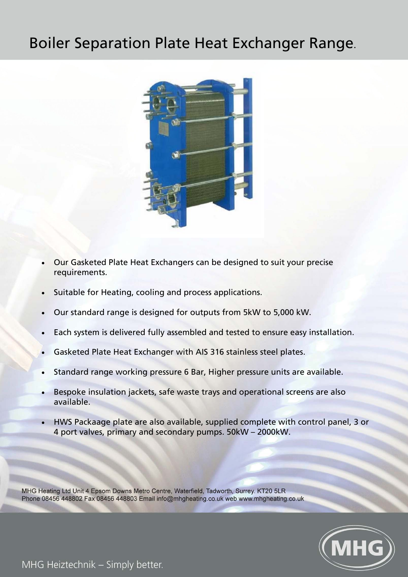## Boiler Separation Plate Heat Exchanger Range.



- Our Gasketed Plate Heat Exchangers can be designed to suit your precise requirements.
- Suitable for Heating, cooling and process applications.
- Our standard range is designed for outputs from 5kW to 5,000 kW.
- Each system is delivered fully assembled and tested to ensure easy installation.
- Gasketed Plate Heat Exchanger with AIS 316 stainless steel plates.
- Standard range working pressure 6 Bar, Higher pressure units are available.
- Bespoke insulation jackets, safe waste trays and operational screens are also available.
- HWS Packaage plate are also available, supplied complete with control panel, 3 or 4 port valves, primary and secondary pumps. 50kW – 2000kW.

MHG Heating Ltd Unit 4 Epsom Downs Metro Centre, Waterfield, Tadworth, Surrey. KT20 5LR Phone 08456 448802 Fax 08456 448803 Email info@mhgheating.co.uk web www.mhgheating.co.uk



MHG Heiztechnik - Simply better.